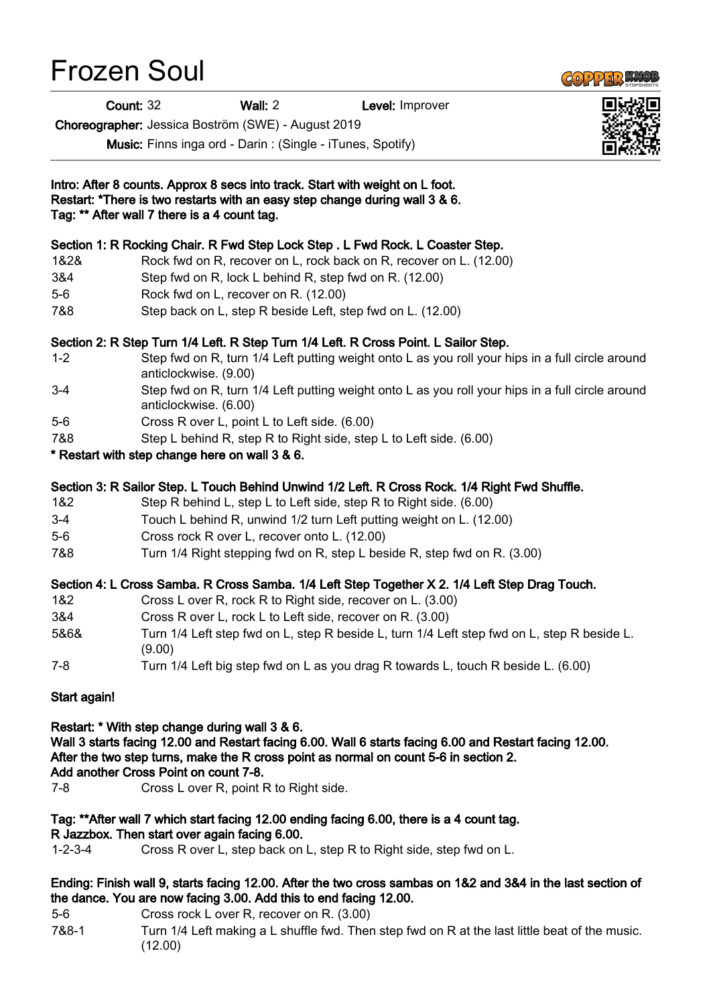## Frozen Soul

Count: 32 Wall: 2 Level: Improver

Choreographer: Jessica Boström (SWE) - August 2019

Music: Finns inga ord - Darin : (Single - iTunes, Spotify)

| Intro: After 8 counts. Approx 8 secs into track. Start with weight on L foot.<br>Restart: *There is two restarts with an easy step change during wall 3 & 6.<br>Tag: ** After wall 7 there is a 4 count tag.                                                                                                                                                                                                                                                                                                                                                                                                                                                                                                              |                                                                                                                                                           |
|---------------------------------------------------------------------------------------------------------------------------------------------------------------------------------------------------------------------------------------------------------------------------------------------------------------------------------------------------------------------------------------------------------------------------------------------------------------------------------------------------------------------------------------------------------------------------------------------------------------------------------------------------------------------------------------------------------------------------|-----------------------------------------------------------------------------------------------------------------------------------------------------------|
|                                                                                                                                                                                                                                                                                                                                                                                                                                                                                                                                                                                                                                                                                                                           |                                                                                                                                                           |
| Section 1: R Rocking Chair. R Fwd Step Lock Step . L Fwd Rock. L Coaster Step.<br>1&2&<br>Rock fwd on R, recover on L, rock back on R, recover on L. (12.00)<br>3&4<br>Step fwd on R, lock L behind R, step fwd on R. (12.00)<br>Rock fwd on L, recover on R. (12.00)<br>$5-6$<br>7&8<br>Step back on L, step R beside Left, step fwd on L. (12.00)<br>Section 2: R Step Turn 1/4 Left. R Step Turn 1/4 Left. R Cross Point. L Sailor Step.<br>$1 - 2$<br>Step fwd on R, turn 1/4 Left putting weight onto L as you roll your hips in a full circle around<br>anticlockwise. (9.00)<br>Step fwd on R, turn 1/4 Left putting weight onto L as you roll your hips in a full circle around<br>$3-4$<br>anticlockwise. (6.00) |                                                                                                                                                           |
|                                                                                                                                                                                                                                                                                                                                                                                                                                                                                                                                                                                                                                                                                                                           |                                                                                                                                                           |
|                                                                                                                                                                                                                                                                                                                                                                                                                                                                                                                                                                                                                                                                                                                           |                                                                                                                                                           |
|                                                                                                                                                                                                                                                                                                                                                                                                                                                                                                                                                                                                                                                                                                                           |                                                                                                                                                           |
|                                                                                                                                                                                                                                                                                                                                                                                                                                                                                                                                                                                                                                                                                                                           |                                                                                                                                                           |
|                                                                                                                                                                                                                                                                                                                                                                                                                                                                                                                                                                                                                                                                                                                           |                                                                                                                                                           |
|                                                                                                                                                                                                                                                                                                                                                                                                                                                                                                                                                                                                                                                                                                                           |                                                                                                                                                           |
|                                                                                                                                                                                                                                                                                                                                                                                                                                                                                                                                                                                                                                                                                                                           |                                                                                                                                                           |
| $5-6$                                                                                                                                                                                                                                                                                                                                                                                                                                                                                                                                                                                                                                                                                                                     | Cross R over L, point L to Left side. (6.00)                                                                                                              |
| 7&8                                                                                                                                                                                                                                                                                                                                                                                                                                                                                                                                                                                                                                                                                                                       | Step L behind R, step R to Right side, step L to Left side. (6.00)                                                                                        |
|                                                                                                                                                                                                                                                                                                                                                                                                                                                                                                                                                                                                                                                                                                                           | * Restart with step change here on wall 3 & 6.                                                                                                            |
|                                                                                                                                                                                                                                                                                                                                                                                                                                                                                                                                                                                                                                                                                                                           | Section 3: R Sailor Step. L Touch Behind Unwind 1/2 Left. R Cross Rock. 1/4 Right Fwd Shuffle.                                                            |
| 1&2                                                                                                                                                                                                                                                                                                                                                                                                                                                                                                                                                                                                                                                                                                                       | Step R behind L, step L to Left side, step R to Right side. (6.00)                                                                                        |
| $3-4$                                                                                                                                                                                                                                                                                                                                                                                                                                                                                                                                                                                                                                                                                                                     | Touch L behind R, unwind 1/2 turn Left putting weight on L. (12.00)                                                                                       |
| $5-6$                                                                                                                                                                                                                                                                                                                                                                                                                                                                                                                                                                                                                                                                                                                     | Cross rock R over L, recover onto L. (12.00)                                                                                                              |
| 7&8                                                                                                                                                                                                                                                                                                                                                                                                                                                                                                                                                                                                                                                                                                                       | Turn 1/4 Right stepping fwd on R, step L beside R, step fwd on R. (3.00)                                                                                  |
|                                                                                                                                                                                                                                                                                                                                                                                                                                                                                                                                                                                                                                                                                                                           | Section 4: L Cross Samba. R Cross Samba. 1/4 Left Step Together X 2. 1/4 Left Step Drag Touch.                                                            |
| 1&2                                                                                                                                                                                                                                                                                                                                                                                                                                                                                                                                                                                                                                                                                                                       | Cross L over R, rock R to Right side, recover on L. (3.00)                                                                                                |
| 3&4                                                                                                                                                                                                                                                                                                                                                                                                                                                                                                                                                                                                                                                                                                                       | Cross R over L, rock L to Left side, recover on R. (3.00)                                                                                                 |
| 5&6&                                                                                                                                                                                                                                                                                                                                                                                                                                                                                                                                                                                                                                                                                                                      | Turn 1/4 Left step fwd on L, step R beside L, turn 1/4 Left step fwd on L, step R beside L.<br>(9.00)                                                     |
| $7 - 8$                                                                                                                                                                                                                                                                                                                                                                                                                                                                                                                                                                                                                                                                                                                   | Turn 1/4 Left big step fwd on L as you drag R towards L, touch R beside L. (6.00)                                                                         |
| Start again!                                                                                                                                                                                                                                                                                                                                                                                                                                                                                                                                                                                                                                                                                                              |                                                                                                                                                           |
|                                                                                                                                                                                                                                                                                                                                                                                                                                                                                                                                                                                                                                                                                                                           | Restart: * With step change during wall 3 & 6.<br>Wall 3 starts facing 12.00 and Restart facing 6.00. Wall 6 starts facing 6.00 and Restart facing 12.00. |

After the two step turns, make the R cross point as normal on count 5-6 in section 2. Add another Cross Point on count 7-8.

7-8 Cross L over R, point R to Right side.

## Tag: \*\*After wall 7 which start facing 12.00 ending facing 6.00, there is a 4 count tag.

## R Jazzbox. Then start over again facing 6.00.

1-2-3-4 Cross R over L, step back on L, step R to Right side, step fwd on L.

## Ending: Finish wall 9, starts facing 12.00. After the two cross sambas on 1&2 and 3&4 in the last section of the dance. You are now facing 3.00. Add this to end facing 12.00.

- 5-6 Cross rock L over R, recover on R. (3.00)
- 7&8-1 Turn 1/4 Left making a L shuffle fwd. Then step fwd on R at the last little beat of the music. (12.00)